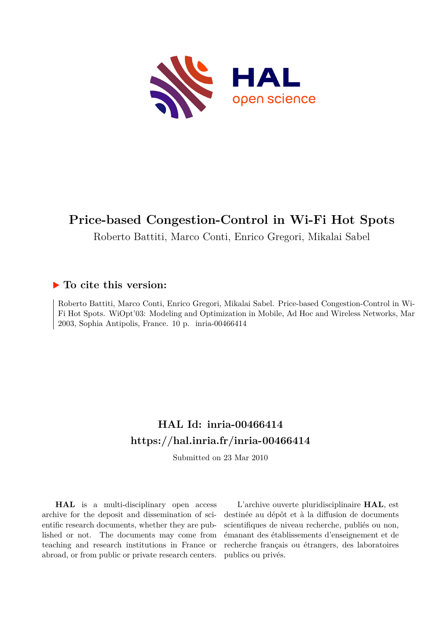

# **Price-based Congestion-Control in Wi-Fi Hot Spots**

Roberto Battiti, Marco Conti, Enrico Gregori, Mikalai Sabel

## **To cite this version:**

Roberto Battiti, Marco Conti, Enrico Gregori, Mikalai Sabel. Price-based Congestion-Control in Wi-Fi Hot Spots. WiOpt'03: Modeling and Optimization in Mobile, Ad Hoc and Wireless Networks, Mar 2003, Sophia Antipolis, France.  $10$  p. inria-00466414

## **HAL Id: inria-00466414 <https://hal.inria.fr/inria-00466414>**

Submitted on 23 Mar 2010

**HAL** is a multi-disciplinary open access archive for the deposit and dissemination of scientific research documents, whether they are published or not. The documents may come from teaching and research institutions in France or abroad, or from public or private research centers.

L'archive ouverte pluridisciplinaire **HAL**, est destinée au dépôt et à la diffusion de documents scientifiques de niveau recherche, publiés ou non, émanant des établissements d'enseignement et de recherche français ou étrangers, des laboratoires publics ou privés.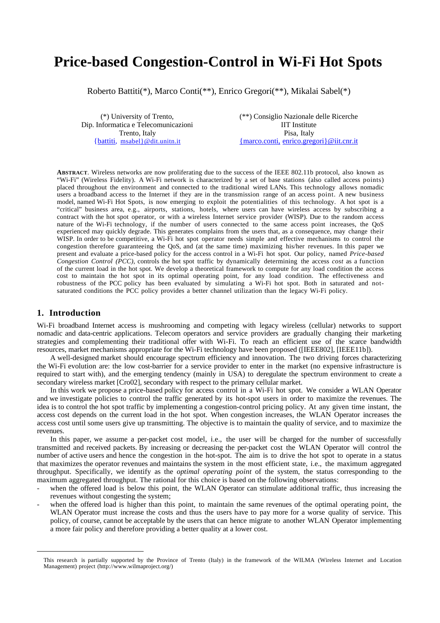## **Price-based Congestion-Control in Wi-Fi Hot Spots**

Roberto Battiti(\*), Marco Conti(\*\*), Enrico Gregori(\*\*), Mikalai Sabel(\*)

(\*) University of Trento, Dip. Informatica e Telecomunicazioni Trento, Italy {battiti, msabel}@dit.unitn.it

(\*\*) Consiglio Nazionale delle Ricerche IIT Institute Pisa, Italy { marco.conti, enrico.gregori}@iit.cnr.it

**ABSTRACT**. Wireless networks are now proliferating due to the success of the IEEE 802.11b protocol, also known as "Wi-Fi" (Wireless Fidelity). A Wi-Fi network is characterized by a set of base stations (also called access points) placed throughout the environment and connected to the traditional wired LANs. This technology allows nomadic users a broadband access to the Internet if they are in the transmission range of an access point. A new business model, named Wi-Fi Hot Spots, is now emerging to exploit the potentialities of this technology. A hot spot is a "critical" business area, e.g., airports, stations, hotels, where users can have wireless access by subscribing a contract with the hot spot operator, or with a wireless Internet service provider (WISP). Due to the random access nature of the Wi-Fi technology, if the number of users connected to the same access point increases, the QoS experienced may quickly degrade. This generates complains from the users that, as a consequence, may change their WISP. In order to be competitive, a Wi-Fi hot spot operator needs simple and effective mechanisms to control the congestion therefore guaranteeing the QoS, and (at the same time) maximizing his/her revenues. In this paper we present and evaluate a price-based policy for the access control in a Wi-Fi hot spot. Our policy, named *Price-based Congestion Control (PCC)*, controls the hot spot traffic by dynamically determining the access *cost* as a function of the current load in the hot spot. We develop a theoretical framework to compute for any load condition the access cost to maintain the hot spot in its optimal operating point, for any load condition. The effectiveness and robustness of the PCC policy has been evaluated by simulating a Wi-Fi hot spot. Both in saturated and notsaturated conditions the PCC policy provides a better channel utilization than the legacy Wi-Fi policy.

## **1. Introduction**

 $\overline{a}$ 

Wi-Fi broadband Internet access is mushrooming and competing with legacy wireless (cellular) networks to support nomadic and data-centric applications. Telecom operators and service providers are gradually changing their marketing strategies and complementing their traditional offer with Wi-Fi. To reach an efficient use of the scarce bandwidth resources, market mechanisms appropriate for the Wi-Fi technology have been proposed ([IEEE802], [IEEE11b]).

A well-designed market should encourage spectrum efficiency and innovation. The two driving forces characterizing the Wi-Fi evolution are: the low cost-barrier for a service provider to enter in the market (no expensive infrastructure is required to start with), and the emerging tendency (mainly in USA) to deregulate the spectrum environment to create a secondary wireless market [Cro02], secondary with respect to the primary cellular market.

In this work we propose a price-based policy for access control in a Wi-Fi hot spot. We consider a WLAN Operator and we investigate policies to control the traffic generated by its hot-spot users in order to maximize the revenues. The idea is to control the hot spot traffic by implementing a congestion-control pricing policy. At any given time instant, the access cost depends on the current load in the hot spot. When congestion increases, the WLAN Operator increases the access cost until some users give up transmitting. The objective is to maintain the quality of service, and to maximize the revenues.

In this paper, we assume a per-packet cost model, i.e., the user will be charged for the number of successfully transmitted and received packets. By increasing or decreasing the per-packet cost the WLAN Operator will control the number of active users and hence the congestion in the hot-spot. The aim is to drive the hot spot to operate in a status that maximizes the operator revenues and maintains the system in the most efficient state, i.e., the maximum aggregated throughput. Specifically, we identify as the *optimal operating point* of the system, the status corresponding to the maximum aggregated throughput. The rational for this choice is based on the following observations:

- when the offered load is below this point, the WLAN Operator can stimulate additional traffic, thus increasing the revenues without congesting the system;
- when the offered load is higher than this point, to maintain the same revenues of the optimal operating point, the WLAN Operator must increase the costs and thus the users have to pay more for a worse quality of service. This policy, of course, cannot be acceptable by the users that can hence migrate to another WLAN Operator implementing a more fair policy and therefore providing a better quality at a lower cost.

This research is partially supported by the Province of Trento (Italy) in the framework of the WILMA (Wireless Internet and Location Management) project (http://www.wilmaproject.org/)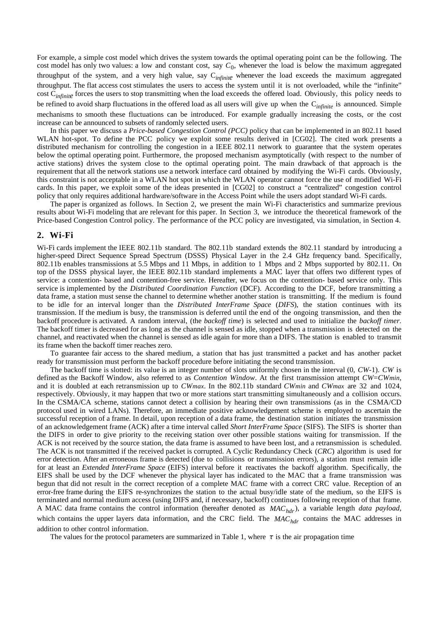For example, a simple cost model which drives the system towards the optimal operating point can be the following. The cost model has only two values: a low and constant cost, say *C*0, whenever the load is below the maximum aggregated throughput of the system, and a very high value, say C*infinite* whenever the load exceeds the maximum aggregated throughput. The flat access cost stimulates the users to access the system until it is not overloaded, while the "infinite" cost C<sub>infinite</sub> forces the users to stop transmitting when the load exceeds the offered load. Obviously, this policy needs to be refined to avoid sharp fluctuations in the offered load as all users will give up when the C*infinite* is announced. Simple mechanisms to smooth these fluctuations can be introduced. For example gradually increasing the costs, or the cost increase can be announced to subsets of randomly selected users.

In this paper we discuss a *Price-based Congestion Control (PCC)* policy that can be implemented in an 802.11 based WLAN hot-spot. To define the PCC policy we exploit some results derived in [CG02]. The cited work presents a distributed mechanism for controlling the congestion in a IEEE 802.11 network to guarantee that the system operates below the optimal operating point. Furthermore, the proposed mechanism asymptotically (with respect to the number of active stations) drives the system close to the optimal operating point. The main drawback of that approach is the requirement that all the network stations use a network interface card obtained by modifying the Wi-Fi cards. Obviously, this constraint is not acceptable in a WLAN hot spot in which the WLAN operator cannot force the use of modified Wi-Fi cards. In this paper, we exploit some of the ideas presented in [CG02] to construct a "centralized" congestion control policy that only requires additional hardware/software in the Access Point while the users adopt standard Wi-Fi cards.

The paper is organized as follows. In Section 2, we present the main Wi-Fi characteristics and summarize previous results about Wi-Fi modeling that are relevant for this paper. In Section 3, we introduce the theoretical framework of the Price-based Congestion Control policy. The performance of the PCC policy are investigated, via simulation, in Section 4.

#### **2. Wi-Fi**

Wi-Fi cards implement the IEEE 802.11b standard. The 802.11b standard extends the 802.11 standard by introducing a higher-speed Direct Sequence Spread Spectrum (DSSS) Physical Layer in the 2.4 GHz frequency band. Specifically, 802.11b enables transmissions at 5.5 Mbps and 11 Mbps, in addition to 1 Mbps and 2 Mbps supported by 802.11. On top of the DSSS physical layer, the IEEE 802.11b standard implements a MAC layer that offers two different types of service: a contention- based and contention-free service. Hereafter, we focus on the contention- based service only. This service is implemented by the *Distributed Coordination Function* (DCF). According to the DCF, before transmitting a data frame, a station must sense the channel to determine whether another station is transmitting. If the medium is found to be idle for an interval longer than the *Distributed InterFrame Space* (*DIFS*), the station continues with its transmission. If the medium is busy, the transmission is deferred until the end of the ongoing transmission, and then the backoff procedure is activated. A random interval, (the *backoff time*) is selected and used to initialize the *backoff timer.* The backoff timer is decreased for as long as the channel is sensed as idle, stopped when a transmission is detected on the channel, and reactivated when the channel is sensed as idle again for more than a DIFS. The station is enabled to transmit its frame when the backoff timer reaches zero.

To guarantee fair access to the shared medium, a station that has just transmitted a packet and has another packet ready for transmission must perform the backoff procedure before initiating the second transmission.

The backoff time is slotted: its value is an integer number of slots uniformly chosen in the interval (0, *CW*-1). *CW* is defined as the Backoff Window, also referred to as *Contention Window*. At the first transmission attempt *CW*=*CWmin*, and it is doubled at each retransmission up to *CWmax*. In the 802.11b standard *CWmin* and *CWmax* are 32 and 1024, respectively. Obviously, it may happen that two or more stations start transmitting simultaneously and a collision occurs. In the CSMA/CA scheme, stations cannot detect a collision by hearing their own transmissions (as in the CSMA/CD protocol used in wired LANs). Therefore, an immediate positive acknowledgement scheme is employed to ascertain the successful reception of a frame. In detail, upon reception of a data frame, the destination station initiates the transmission of an acknowledgement frame (ACK) after a time interval called *Short InterFrame Space* (SIFS). The SIFS is shorter than the DIFS in order to give priority to the receiving station over other possible stations waiting for transmission. If the ACK is not received by the source station, the data frame is assumed to have been lost, and a retransmission is scheduled. The ACK is not transmitted if the received packet is corrupted. A Cyclic Redundancy Check (*CRC*) algorithm is used for error detection. After an erroneous frame is detected (due to collisions or transmission errors), a station must remain idle for at least an *Extended InterFrame Space* (EIFS) interval before it reactivates the backoff algorithm. Specifically, the EIFS shall be used by the DCF whenever the physical layer has indicated to the MAC that a frame transmission was begun that did not result in the correct reception of a complete MAC frame with a correct CRC value. Reception of an error-free frame during the EIFS re-synchronizes the station to the actual busy/idle state of the medium, so the EIFS is terminated and normal medium access (using DIFS and, if necessary, backoff) continues following reception of that frame. A MAC data frame contains the control information (hereafter denoted as *MAChdr*), a variable length *data payload*, which contains the upper layers data information, and the CRC field. The MAC<sub>hdr</sub> contains the MAC addresses in addition to other control information.

The values for the protocol parameters are summarized in Table 1, where  $\tau$  is the air propagation time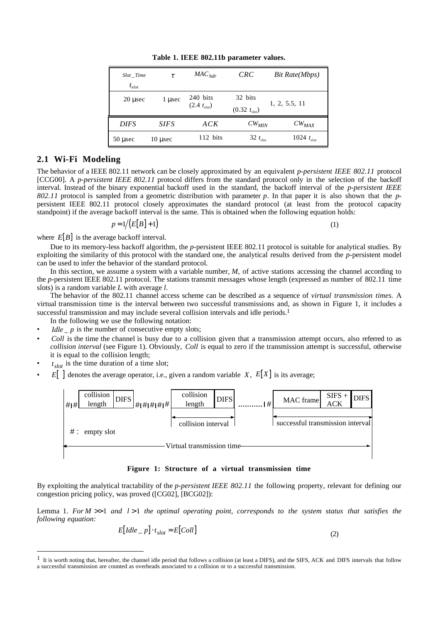| $Slot$ Time  | τ            | $MAC_{hdr}$                  | <i>CRC</i>                   | Bit Rate(Mbps)  |
|--------------|--------------|------------------------------|------------------------------|-----------------|
| $t_{slot}$   |              |                              |                              |                 |
| $20 \mu$ sec | 1 usec       | 240 bits<br>$(2.4 t_{slot})$ | 32 bits<br>$(0.32 t_{slot})$ | 1, 2, 5.5, 11   |
| <b>DIFS</b>  | <b>SIFS</b>  | ACK                          | $CW_{MIN}$                   | $CW_{MAX}$      |
| $50$ usec    | $10 \mu$ sec | 112 bits                     | 32 $t_{slot}$                | 1024 $t_{slot}$ |

**Table 1. IEEE 802.11b parameter values.**

## **2.1 Wi-Fi Modeling**

The behavior of a IEEE 802.11 network can be closely approximated by an equivalent *p-persistent IEEE 802.11* protocol [CCG00]. A *p-persistent IEEE 802.11* protocol differs from the standard protocol only in the selection of the backoff interval. Instead of the binary exponential backoff used in the standard, the backoff interval of the *p-persistent IEEE 802.11* protocol is sampled from a geometric distribution with parameter *p*. In that paper it is also shown that the *p*persistent IEEE 802.11 protocol closely approximates the standard protocol (at least from the protocol capacity standpoint) if the average backoff interval is the same. This is obtained when the following equation holds:

$$
p = 1/(E[B] + 1) \tag{1}
$$

where  $E[B]$  is the average backoff interval.

Due to its memory-less backoff algorithm, the *p*-persistent IEEE 802.11 protocol is suitable for analytical studies. By exploiting the similarity of this protocol with the standard one, the analytical results derived from the *p*-persistent model can be used to infer the behavior of the standard protocol.

In this section, we assume a system with a variable number, M, of active stations accessing the channel according to the *p*-persistent IEEE 802.11 protocol. The stations transmit messages whose length (expressed as number of 802.11 time slots) is a random variable *L* with average *l*.

The behavior of the 802.11 channel access scheme can be described as a sequence of *virtual transmission times.* A virtual transmission time is the interval between two successful transmissions and, as shown in Figure 1, it includes a successful transmission and may include several collision intervals and idle periods.<sup>1</sup>

- In the following we use the following notation:
- $I$ *dle*  $\mu$  p is the number of consecutive empty slots;
- *Coll* is the time the channel is busy due to a collision given that a transmission attempt occurs, also referred to as *collision interval* (see Figure 1). Obviously, *Coll* is equal to zero if the transmission attempt is successful, otherwise it is equal to the collision length;
- $t_{slot}$  is the time duration of a time slot;

 $\overline{a}$ 

 $E[\ ]$  denotes the average operator, i.e., given a random variable *X*,  $E[X]$  is its average;



**Figure 1: Structure of a virtual transmission time**

By exploiting the analytical tractability of the *p-persistent IEEE 802.11* the following property, relevant for defining our congestion pricing policy, was proved ([CG02], [BCG02]):

Lemma 1. *For M* >> 1 *and l* > 1 *the optimal operating point, corresponds to the system status that satisfies the following equation:*

$$
E[dde_{-}p] \cdot t_{slot} = E[Coll] \tag{2}
$$

<sup>&</sup>lt;sup>1</sup> It is worth noting that, hereafter, the channel idle period that follows a collision (at least a DIFS), and the SIFS, ACK and DIFS intervals that follow a successful transmission are counted as overheads associated to a collision or to a successful transmission.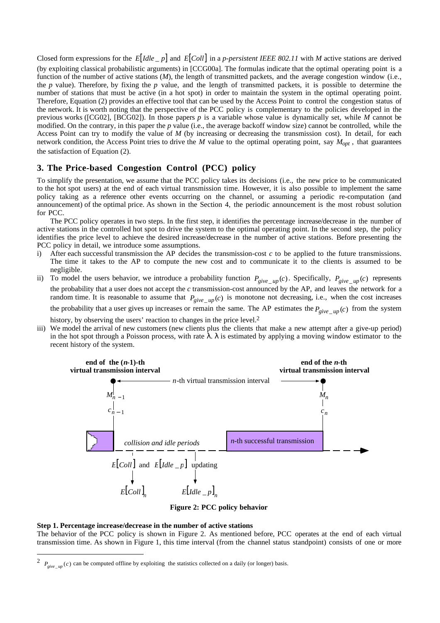Closed form expressions for the  $E[Idle_p]$  and  $E[Coll]$  in a *p-persistent IEEE 802.11* with *M* active stations are derived (by exploiting classical probabilistic arguments) in [CCG00a]. The formulas indicate that the optimal operating point is a function of the number of active stations (*M*), the length of transmitted packets, and the average congestion window (i.e., the *p* value). Therefore, by fixing the *p* value, and the length of transmitted packets, it is possible to determine the number of stations that must be active (in a hot spot) in order to maintain the system in the optimal operating point. Therefore, Equation (2) provides an effective tool that can be used by the Access Point to control the congestion status of the network. It is worth noting that the perspective of the PCC policy is complementary to the policies developed in the previous works ([CG02], [BCG02]). In those papers *p* is a variable whose value is dynamically set, while *M* cannot be modified. On the contrary, in this paper the *p* value (i.e., the average backoff window size) cannot be controlled, while the Access Point can try to modify the value of *M* (by increasing or decreasing the transmission cost). In detail, for each network condition, the Access Point tries to drive the *M* value to the optimal operating point, say *Mopt* , that guarantees the satisfaction of Equation (2).

## **3. The Price-based Congestion Control (PCC) policy**

To simplify the presentation, we assume that the PCC policy takes its decisions (i.e., the new price to be communicated to the hot spot users) at the end of each virtual transmission time*.* However, it is also possible to implement the same policy taking as a reference other events occurring on the channel, or assuming a periodic re-computation (and announcement) of the optimal price. As shown in the Section 4, the periodic announcement is the most robust solution for PCC.

The PCC policy operates in two steps. In the first step, it identifies the percentage increase/decrease in the number of active stations in the controlled hot spot to drive the system to the optimal operating point. In the second step, the policy identifies the price level to achieve the desired increase/decrease in the number of active stations. Before presenting the PCC policy in detail, we introduce some assumptions.

- i) After each successful transmission the AP decides the transmission-cost *c* to be applied to the future transmissions. The time it takes to the AP to compute the new cost and to communicate it to the clients is assumed to be negligible.
- ii) To model the users behavior, we introduce a probability function  $P_{give\_up}(c)$ . Specifically,  $P_{give\_up}(c)$  represents the probability that a user does not accept the *c* transmission-cost announced by the AP, and leaves the network for a random time. It is reasonable to assume that  $P_{give\_up}(c)$  is monotone not decreasing, i.e., when the cost increases the probability that a user gives up increases or remain the same. The AP estimates the  $P_{give up}(c)$  from the system

history, by observing the users' reaction to changes in the price level.<sup>2</sup>

iii) We model the arrival of new customers (new clients plus the clients that make a new attempt after a give-up period) in the hot spot through a Poisson process, with rate  $\lambda$ .  $\lambda$  is estimated by applying a moving window estimator to the recent history of the system.



**Figure 2: PCC policy behavior**

#### **Step 1. Percentage increase/decrease in the number of active stations**

 $\overline{a}$ 

The behavior of the PCC policy is shown in Figure 2. As mentioned before, PCC operates at the end of each virtual transmission time. As shown in Figure 1, this time interval (from the channel status standpoint) consists of one or more

 $P_{\text{circ}}$  *up* (*c*) can be computed offline by exploiting the statistics collected on a daily (or longer) basis.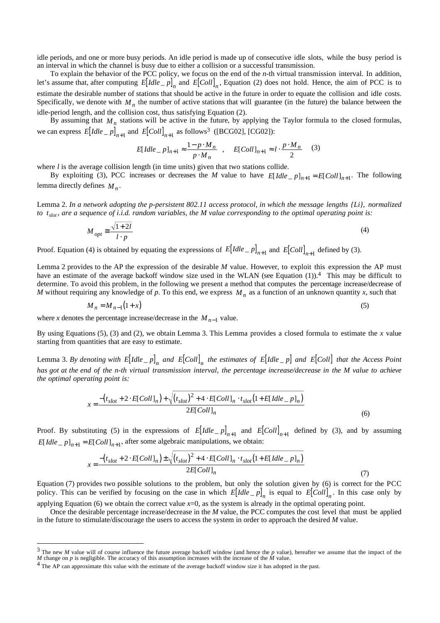idle periods, and one or more busy periods. An idle period is made up of consecutive idle slots, while the busy period is an interval in which the channel is busy due to either a collision or a successful transmission.

To explain the behavior of the PCC policy, we focus on the end of the *n*-th virtual transmission interval. In addition, let's assume that, after computing  $E[dde_p]$  and  $E[Coll]_n$ , Equation (2) does not hold. Hence, the aim of PCC is to estimate the desirable number of stations that should be active in the future in order to equate the collision and idle costs. Specifically, we denote with  $M<sub>n</sub>$  the number of active stations that will guarantee (in the future) the balance between the idle-period length, and the collision cost, thus satisfying Equation (2).

By assuming that  $M_n$  stations will be active in the future, by applying the Taylor formula to the closed formulas, we can express  $E[Idle_p]_{n+1}$  and  $E[Coll]_{n+1}$  as follows<sup>3</sup> ([BCG02], [CG02]):

$$
E[dde_{-}p]_{n+1} \approx \frac{1 - p \cdot M_n}{p \cdot M_n} , \quad E[Coll]_{n+1} \approx l \cdot \frac{p \cdot M_n}{2} \quad (3)
$$

where *l* is the average collision length (in time units) given that two stations collide.

By exploiting (3), PCC increases or decreases the *M* value to have  $E[Idle_p]_{n+1} = E[Coll]_{n+1}$ . The following lemma directly defines  $M_n$ .

Lemma 2. *In a network adopting the p-persistent 802.11 access protocol, in which the message lengths {Li}, normalized to tslot , are a sequence of i.i.d. random variables, the M value corresponding to the optimal operating point is:*

$$
M_{opt} \cong \frac{\sqrt{1+2l}}{l \cdot p} \tag{4}
$$

Proof. Equation (4) is obtained by equating the expressions of  $E[dde_p]_{n+1}$  and  $E[Coll]_{n+1}$  defined by (3).

Lemma 2 provides to the AP the expression of the desirable *M* value. However, to exploit this expression the AP must have an estimate of the average backoff window size used in the WLAN (see Equation (1)).<sup>4</sup> This may be difficult to determine. To avoid this problem, in the following we present a method that computes the percentage increase/decrease of *M* without requiring any knowledge of p. To this end, we express  $M_n$  as a function of an unknown quantity x, such that

$$
M_n = M_{n-1}(1+x) \tag{5}
$$

where *x* denotes the percentage increase/decrease in the  $M_{n-1}$  value.

 $\overline{a}$ 

By using Equations (5), (3) and (2), we obtain Lemma 3. This Lemma provides a closed formula to estimate the *x* value starting from quantities that are easy to estimate.

Lemma 3. By denoting with  $E[Idle_p]_n$  and  $E[Coll]_n$  the estimates of  $E[Idle_p]$  and  $E[Coll]$  that the Access Point *has got at the end of the n-th virtual transmission interval, the percentage increase/decrease in the M value to achieve the optimal operating point is:*

$$
x = \frac{-\left(t_{slot} + 2 \cdot E[Coll]_n\right) + \sqrt{\left(t_{slot}\right)^2 + 4 \cdot E[Coll]_n \cdot t_{slot}\left(1 + E[idle\_p]_n\right)}}{2E[Coll]_n}
$$
\n(6)

Proof. By substituting (5) in the expressions of  $E[dde_p]_{n+1}$  and  $E[Coll]_{n+1}$  defined by (3), and by assuming *E*[*Idle*  $_{p}$ *]<sub>n+1</sub>* = *E*[*Coll*]<sub>*n+1*</sub>, after some algebraic manipulations, we obtain:

$$
x = \frac{-\left(t_{slot} + 2 \cdot E[Coll]_n\right) \pm \sqrt{\left(t_{slot}\right)^2 + 4 \cdot E[Coll]_n \cdot t_{slot}\left(1 + E[idle\_\, p]_n\right)}}{2E[Coll]_n}
$$
\n(7)

Equation (7) provides two possible solutions to the problem, but only the solution given by (6) is correct for the PCC policy. This can be verified by focusing on the case in which  $E[dde_p]_n$  is equal to  $E[Coll]_n$ . In this case only by applying Equation  $(6)$  we obtain the correct value  $x=0$ , as the system is already in the optimal operating point.

Once the desirable percentage increase/decrease in the *M* value, the PCC computes the cost level that must be applied in the future to stimulate/discourage the users to access the system in order to approach the desired *M* value.

<sup>&</sup>lt;sup>3</sup> The new *M* value will of course influence the future average backoff window (and hence the *p* value), hereafter we assume that the impact of the *M* change on  $p$  is negligible. The accuracy of this assumption increases with the increase of the  $\dot{M}$  value.

<sup>&</sup>lt;sup>4</sup> The AP can approximate this value with the estimate of the average backoff window size it has adopted in the past.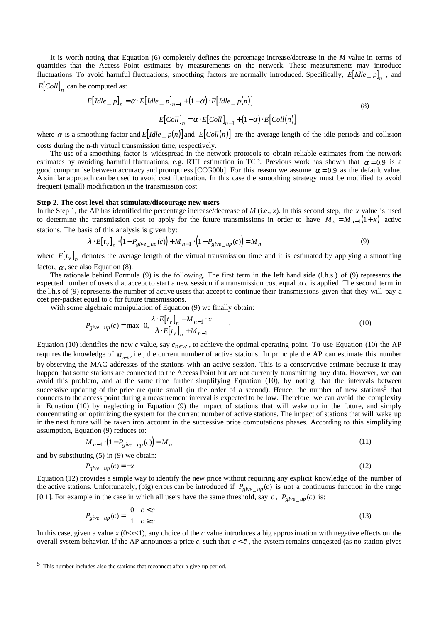It is worth noting that Equation (6) completely defines the percentage increase/decrease in the *M* value in terms of quantities that the Access Point estimates by measurements on the network. These measurements may introduce fluctuations. To avoid harmful fluctuations, smoothing factors are normally introduced. Specifically,  $E[$ *Idle*  $_{p}$ *n*  $_{n}$ , and  $E[Coll]_n$  can be computed as:

$$
E[Idle_{-}p]_{n} = \alpha \cdot E[Idle_{-}p]_{n-1} + (1 - \alpha) \cdot E[Idle_{-}p(n)]
$$
  

$$
E[Coll]_{n} = \alpha \cdot E[Coll]_{n-1} + (1 - \alpha) \cdot E[Coll(n)]
$$
 (8)

where  $\alpha$  is a smoothing factor and  $E[Idle_p(n)]$  and  $E[Coll(n)]$  are the average length of the idle periods and collision costs during the n-th virtual transmission time, respectively.

The use of a smoothing factor is widespread in the network protocols to obtain reliable estimates from the network estimates by avoiding harmful fluctuations, e.g. RTT estimation in TCP. Previous work has shown that  $\alpha = 0.9$  is a good compromise between accuracy and promptness [CCG00b]. For this reason we assume  $\alpha = 0.9$  as the default value. A similar approach can be used to avoid cost fluctuation. In this case the smoothing strategy must be modified to avoid frequent (small) modification in the transmission cost.

#### **Step 2. The cost level that stimulate/discourage new users**

In the Step 1, the AP has identified the percentage increase/decrease of *M* (i.e., *x*). In this second step, the *x* value is used to determine the transmission cost to apply for the future transmissions in order to have  $M_n = M_{n-1}(1+x)$  active stations. The basis of this analysis is given by:

$$
\lambda \cdot E[t_v]_n \cdot (1 - P_{give \_\mathit{up}(c)}) + M_{n-1} \cdot (1 - P_{give \_\mathit{up}(c)}) = M_n
$$
\n(9)

where  $E[t_v]$ <sub>n</sub> denotes the average length of the virtual transmission time and it is estimated by applying a smoothing factor,  $\alpha$ , see also Equation (8).

The rationale behind Formula (9) is the following. The first term in the left hand side (l.h.s.) of (9) represents the expected number of users that accept to start a new session if a transmission cost equal to *c* is applied. The second term in the l.h.s of (9) represents the number of active users that accept to continue their transmissions given that they will pay a cost per-packet equal to *c* for future transmissions.

With some algebraic manipulation of Equation (9) we finally obtain:

$$
P_{give\_up}(c) = \max\left\{0, \frac{\lambda \cdot E[t_v]_n - M_{n-1} \cdot x}{\lambda \cdot E[t_v]_n + M_{n-1}}\right\}
$$
 (10)

Equation (10) identifies the new *c* value, say *cnew* , to achieve the optimal operating point. To use Equation (10) the AP requires the knowledge of  $M_{n-1}$ , i.e., the current number of active stations. In principle the AP can estimate this number by observing the MAC addresses of the stations with an active session. This is a conservative estimate because it may happen that some stations are connected to the Access Point but are not currently transmitting any data. However, we can avoid this problem, and at the same time further simplifying Equation (10), by noting that the intervals between successive updating of the price are quite small (in the order of a second). Hence, the number of new stations<sup>5</sup> that connects to the access point during a measurement interval is expected to be low. Therefore, we can avoid the complexity in Equation (10) by neglecting in Equation (9) the impact of stations that will wake up in the future, and simply concentrating on optimizing the system for the current number of active stations. The impact of stations that will wake up in the next future will be taken into account in the successive price computations phases. According to this simplifying assumption, Equation (9) reduces to:

$$
M_{n-1} \cdot \left(1 - P_{give \_\mathit{up}}(c)\right) = M_n \tag{11}
$$

and by substituting (5) in (9) we obtain:

 $\overline{a}$ 

$$
P_{give \_\mathit{up}}(c) = -x \tag{12}
$$

Equation (12) provides a simple way to identify the new price without requiring any explicit knowledge of the number of the active stations. Unfortunately, (big) errors can be introduced if  $P_{give\_\mu\nu}(c)$  is not a continuous function in the range [0,1]. For example in the case in which all users have the same threshold, say  $\bar{c}$ ,  $P_{give\_up}(c)$  is:

$$
P_{give_{\mu\nu}}(c) = \begin{cases} 0 & c < \overline{c} \\ 1 & c \ge \overline{c} \end{cases} \tag{13}
$$

In this case, given a value  $x$  ( $0 \lt x \lt 1$ ), any choice of the *c* value introduces a big approximation with negative effects on the overall system behavior. If the AP announces a price *c*, such that  $c < \overline{c}$ , the system remains congested (as no station gives

<sup>5</sup> This number includes also the stations that reconnect after a give-up period.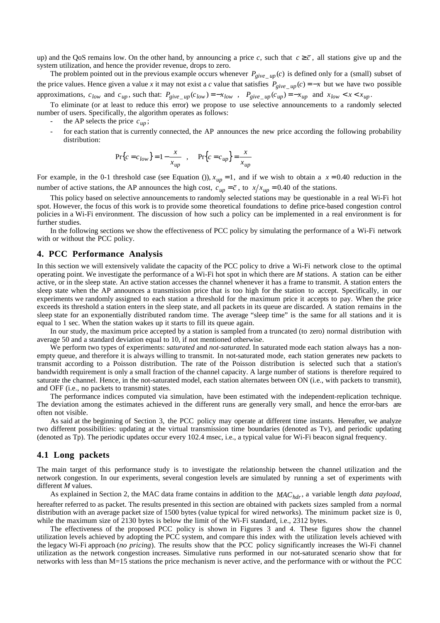up) and the QoS remains low. On the other hand, by announcing a price c, such that  $c \geq \overline{c}$ , all stations give up and the system utilization, and hence the provider revenue, drops to zero.

The problem pointed out in the previous example occurs whenever  $P_{give\_up}(c)$  is defined only for a (small) subset of the price values. Hence given a value *x* it may not exist a *c* value that satisfies  $P_{give \mu p}(c) = -x$  but we have two possible approximations,  $c_{low}$  and  $c_{up}$ , such that:  $P_{give\_\mu} (c_{low}) = -x_{low}$ ,  $P_{give\_\mu} (c_{up}) = -x_{up}$  and  $x_{low} < x < x_{up}$ .

To eliminate (or at least to reduce this error) we propose to use selective announcements to a randomly selected number of users. Specifically, the algorithm operates as follows:

- the AP selects the price  $c_{\mu}$ ;
- for each station that is currently connected, the AP announces the new price according the following probability distribution:

$$
Pr{c = c_{low}} = 1 - \frac{x}{x_{up}}
$$
, 
$$
Pr{c = c_{up}} = \frac{x}{x_{up}}
$$

For example, in the 0-1 threshold case (see Equation ()),  $x_{up} = 1$ , and if we wish to obtain a  $x = 0.40$  reduction in the number of active stations, the AP announces the high cost,  $c_{up} = \bar{c}$ , to  $x/x_{up} = 0.40$  of the stations.

This policy based on selective announcements to randomly selected stations may be questionable in a real Wi-Fi hot spot. However, the focus of this work is to provide some theoretical foundations to define price-based congestion control policies in a Wi-Fi environment. The discussion of how such a policy can be implemented in a real environment is for further studies.

In the following sections we show the effectiveness of PCC policy by simulating the performance of a Wi-Fi network with or without the PCC policy.

## **4. PCC Performance Analysis**

In this section we will extensively validate the capacity of the PCC policy to drive a Wi-Fi network close to the optimal operating point. We investigate the performance of a Wi-Fi hot spot in which there are *M* stations. A station can be either active, or in the sleep state. An active station accesses the channel whenever it has a frame to transmit. A station enters the sleep state when the AP announces a transmission price that is too high for the station to accept. Specifically, in our experiments we randomly assigned to each station a threshold for the maximum price it accepts to pay. When the price exceeds its threshold a station enters in the sleep state, and all packets in its queue are discarded. A station remains in the sleep state for an exponentially distributed random time. The average "sleep time" is the same for all stations and it is equal to 1 sec. When the station wakes up it starts to fill its queue again.

In our study, the maximum price accepted by a station is sampled from a truncated (to zero) normal distribution with average 50 and a standard deviation equal to 10, if not mentioned otherwise.

We perform two types of experiments: *saturated* and *not-saturated*. In saturated mode each station always has a nonempty queue, and therefore it is always willing to transmit. In not-saturated mode, each station generates new packets to transmit according to a Poisson distribution. The rate of the Poisson distribution is selected such that a station's bandwidth requirement is only a small fraction of the channel capacity. A large number of stations is therefore required to saturate the channel. Hence, in the not-saturated model, each station alternates between ON (i.e., with packets to transmit), and OFF (i.e., no packets to transmit) states.

The performance indices computed via simulation, have been estimated with the independent-replication technique. The deviation among the estimates achieved in the different runs are generally very small, and hence the error-bars are often not visible.

As said at the beginning of Section 3, the PCC policy may operate at different time instants. Hereafter, we analyze two different possibilities: updating at the virtual transmission time boundaries (denoted as Tv), and periodic updating (denoted as Tp). The periodic updates occur every 102.4 msec, i.e., a typical value for Wi-Fi beacon signal frequency.

### **4.1 Long packets**

The main target of this performance study is to investigate the relationship between the channel utilization and the network congestion. In our experiments, several congestion levels are simulated by running a set of experiments with different *M* values.

As explained in Section 2, the MAC data frame contains in addition to the *MAC<sub>hdr</sub>*, a variable length *data payload*,

hereafter referred to as packet. The results presented in this section are obtained with packets sizes sampled from a normal distribution with an average packet size of 1500 bytes (value typical for wired networks). The minimum packet size is 0, while the maximum size of 2130 bytes is below the limit of the Wi-Fi standard, i.e., 2312 bytes.

The effectiveness of the proposed PCC policy is shown in Figures 3 and 4. These figures show the channel utilization levels achieved by adopting the PCC system, and compare this index with the utilization levels achieved with the legacy Wi-Fi approach (*no pricing*). The results show that the PCC policy significantly increases the Wi-Fi channel utilization as the network congestion increases. Simulative runs performed in our not-saturated scenario show that for networks with less than M=15 stations the price mechanism is never active, and the performance with or without the PCC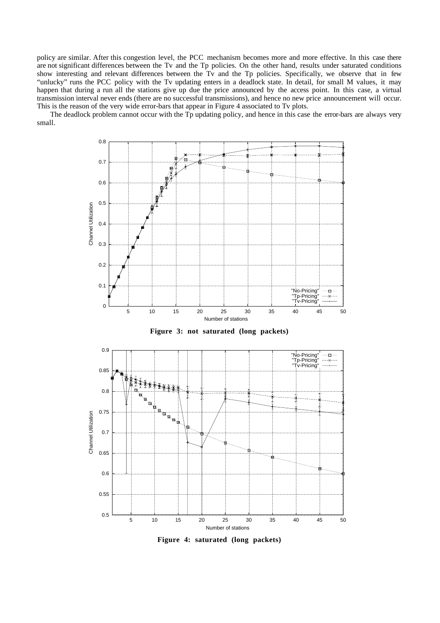policy are similar. After this congestion level, the PCC mechanism becomes more and more effective. In this case there are not significant differences between the Tv and the Tp policies. On the other hand, results under saturated conditions show interesting and relevant differences between the Tv and the Tp policies. Specifically, we observe that in few "unlucky" runs the PCC policy with the Tv updating enters in a deadlock state. In detail, for small M values, it may happen that during a run all the stations give up due the price announced by the access point. In this case, a virtual transmission interval never ends (there are no successful transmissions), and hence no new price announcement will occur. This is the reason of the very wide error-bars that appear in Figure 4 associated to Tv plots.

The deadlock problem cannot occur with the Tp updating policy, and hence in this case the error-bars are always very small.



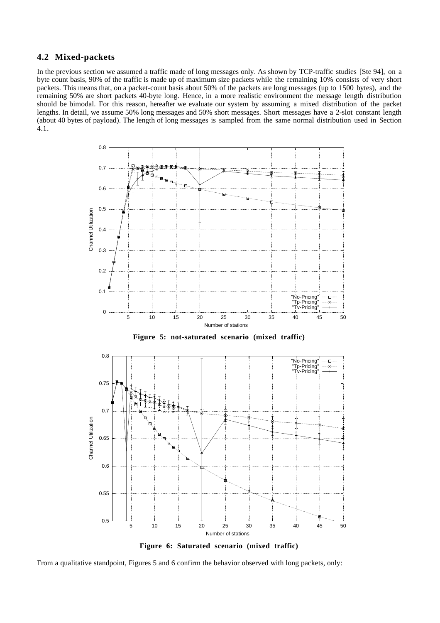## **4.2 Mixed-packets**

In the previous section we assumed a traffic made of long messages only. As shown by TCP-traffic studies [Ste 94], on a byte count basis, 90% of the traffic is made up of maximum size packets while the remaining 10% consists of very short packets. This means that, on a packet-count basis about 50% of the packets are long messages (up to 1500 bytes), and the remaining 50% are short packets 40-byte long. Hence, in a more realistic environment the message length distribution should be bimodal. For this reason, hereafter we evaluate our system by assuming a mixed distribution of the packet lengths. In detail, we assume 50% long messages and 50% short messages. Short messages have a 2-slot constant length (about 40 bytes of payload). The length of long messages is sampled from the same normal distribution used in Section 4.1.





From a qualitative standpoint, Figures 5 and 6 confirm the behavior observed with long packets, only: